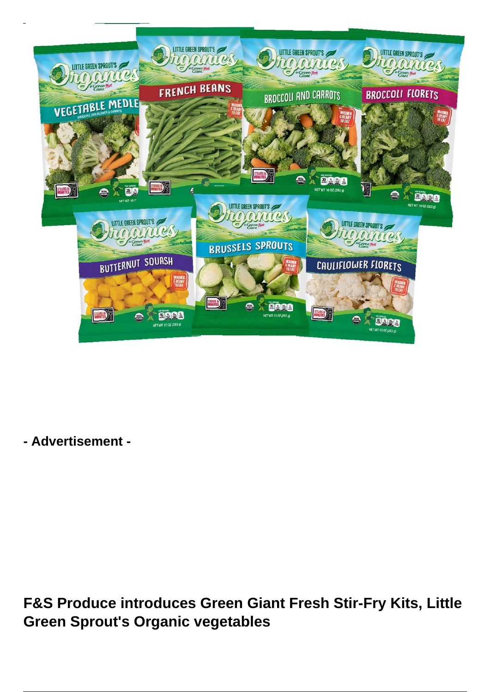

**- Advertisement -**

**F&S Produce introduces Green Giant Fresh Stir-Fry Kits, Little Green Sprout's Organic vegetables**